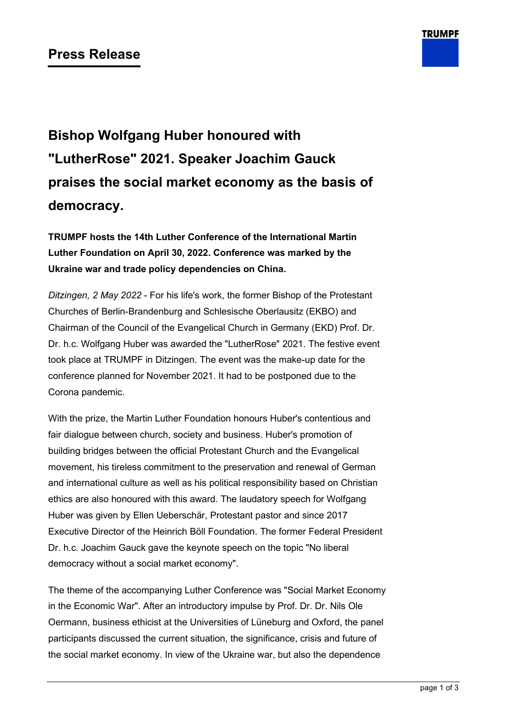

# **Bishop Wolfgang Huber honoured with "LutherRose" 2021. Speaker Joachim Gauck praises the social market economy as the basis of democracy.**

**TRUMPF hosts the 14th Luther Conference of the International Martin Luther Foundation on April 30, 2022. Conference was marked by the Ukraine war and trade policy dependencies on China.**

*Ditzingen, 2 May 2022* - For his life's work, the former Bishop of the Protestant Churches of Berlin-Brandenburg and Schlesische Oberlausitz (EKBO) and Chairman of the Council of the Evangelical Church in Germany (EKD) Prof. Dr. Dr. h.c. Wolfgang Huber was awarded the "LutherRose" 2021. The festive event took place at TRUMPF in Ditzingen. The event was the make-up date for the conference planned for November 2021. It had to be postponed due to the Corona pandemic.

With the prize, the Martin Luther Foundation honours Huber's contentious and fair dialogue between church, society and business. Huber's promotion of building bridges between the official Protestant Church and the Evangelical movement, his tireless commitment to the preservation and renewal of German and international culture as well as his political responsibility based on Christian ethics are also honoured with this award. The laudatory speech for Wolfgang Huber was given by Ellen Ueberschär, Protestant pastor and since 2017 Executive Director of the Heinrich Böll Foundation. The former Federal President Dr. h.c. Joachim Gauck gave the keynote speech on the topic "No liberal democracy without a social market economy".

The theme of the accompanying Luther Conference was "Social Market Economy in the Economic War". After an introductory impulse by Prof. Dr. Dr. Nils Ole Oermann, business ethicist at the Universities of Lüneburg and Oxford, the panel participants discussed the current situation, the significance, crisis and future of the social market economy. In view of the Ukraine war, but also the dependence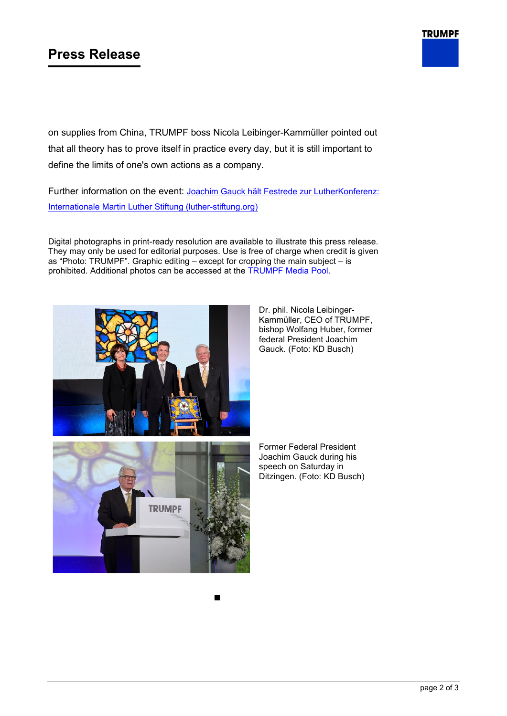## **Press Release**

on supplies from China, TRUMPF boss Nicola Leibinger-Kammüller pointed out that all theory has to prove itself in practice every day, but it is still important to define the limits of one's own actions as a company.

Further information on the event: [Joachim Gauck hält Festrede zur LutherKonferenz:](https://www.luther-stiftung.org/de/lutherstiftung/aktuell/detailansicht?tx_news_pi1%5Baction%5D=detail&tx_news_pi1%5Bcontroller%5D=News&tx_news_pi1%5Bnews%5D=36&cHash=53f2967b836a7ca20ff4d55159fdf07d)  [Internationale Martin Luther Stiftung \(luther-stiftung.org\)](https://www.luther-stiftung.org/de/lutherstiftung/aktuell/detailansicht?tx_news_pi1%5Baction%5D=detail&tx_news_pi1%5Bcontroller%5D=News&tx_news_pi1%5Bnews%5D=36&cHash=53f2967b836a7ca20ff4d55159fdf07d)

Digital photographs in print-ready resolution are available to illustrate this press release. They may only be used for editorial purposes. Use is free of charge when credit is given as "Photo: TRUMPF". Graphic editing – except for cropping the main subject – is prohibited. Additional photos can be accessed at the [TRUMPF Media Pool.](https://mediapool.trumpf.com/share/747E8803-A594-42D5-BC0EBBBCF297A032/)



Dr. phil. Nicola Leibinger-Kammüller, CEO of TRUMPF, bishop Wolfang Huber, former federal President Joachim Gauck. (Foto: KD Busch)

Former Federal President Joachim Gauck during his speech on Saturday in Ditzingen. (Foto: KD Busch)

**TRUMPF**